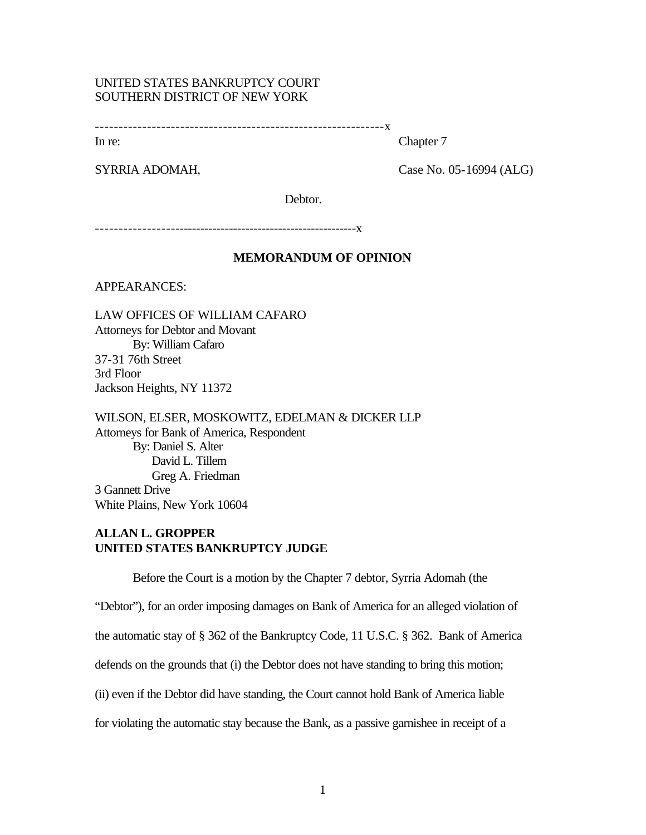# UNITED STATES BANKRUPTCY COURT SOUTHERN DISTRICT OF NEW YORK

-------------------------------------------------------------x

In re: Chapter 7

SYRRIA ADOMAH, Case No. 05-16994 (ALG)

Debtor.

-------------------------------------------------------------x

## **MEMORANDUM OF OPINION**

APPEARANCES:

LAW OFFICES OF WILLIAM CAFARO Attorneys for Debtor and Movant By: William Cafaro 37-31 76th Street 3rd Floor Jackson Heights, NY 11372

WILSON, ELSER, MOSKOWITZ, EDELMAN & DICKER LLP Attorneys for Bank of America, Respondent By: Daniel S. Alter David L. Tillem Greg A. Friedman 3 Gannett Drive White Plains, New York 10604

# **ALLAN L. GROPPER UNITED STATES BANKRUPTCY JUDGE**

Before the Court is a motion by the Chapter 7 debtor, Syrria Adomah (the

"Debtor"), for an order imposing damages on Bank of America for an alleged violation of

the automatic stay of § 362 of the Bankruptcy Code, 11 U.S.C. § 362. Bank of America

defends on the grounds that (i) the Debtor does not have standing to bring this motion;

(ii) even if the Debtor did have standing, the Court cannot hold Bank of America liable

for violating the automatic stay because the Bank, as a passive garnishee in receipt of a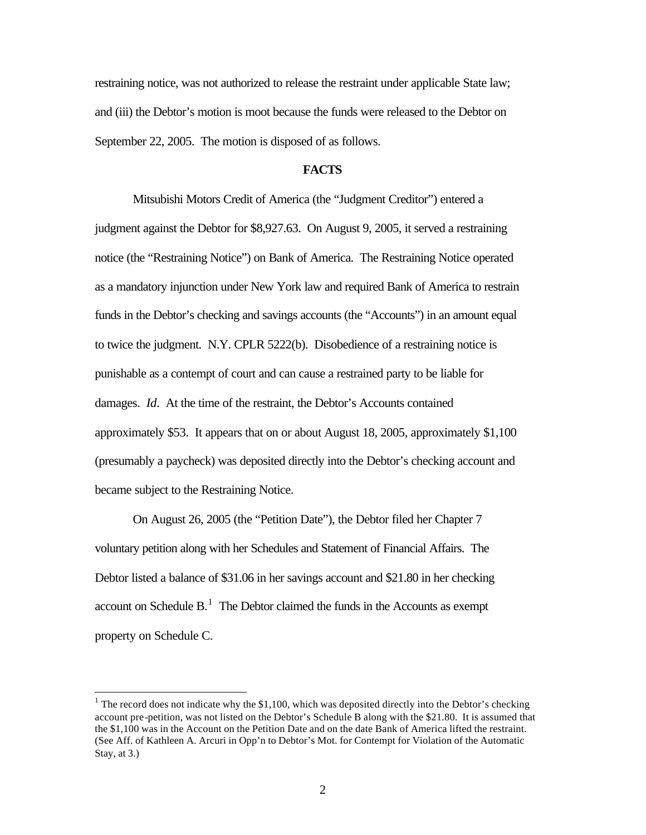restraining notice, was not authorized to release the restraint under applicable State law; and (iii) the Debtor's motion is moot because the funds were released to the Debtor on September 22, 2005. The motion is disposed of as follows.

### **FACTS**

Mitsubishi Motors Credit of America (the "Judgment Creditor") entered a judgment against the Debtor for \$8,927.63. On August 9, 2005, it served a restraining notice (the "Restraining Notice") on Bank of America. The Restraining Notice operated as a mandatory injunction under New York law and required Bank of America to restrain funds in the Debtor's checking and savings accounts (the "Accounts") in an amount equal to twice the judgment. N.Y. CPLR 5222(b). Disobedience of a restraining notice is punishable as a contempt of court and can cause a restrained party to be liable for damages. *Id*. At the time of the restraint, the Debtor's Accounts contained approximately \$53. It appears that on or about August 18, 2005, approximately \$1,100 (presumably a paycheck) was deposited directly into the Debtor's checking account and became subject to the Restraining Notice.

On August 26, 2005 (the "Petition Date"), the Debtor filed her Chapter 7 voluntary petition along with her Schedules and Statement of Financial Affairs. The Debtor listed a balance of \$31.06 in her savings account and \$21.80 in her checking account on Schedule  $B<sup>1</sup>$ . The Debtor claimed the funds in the Accounts as exempt property on Schedule C.

 $\overline{a}$ 

<sup>&</sup>lt;sup>1</sup> The record does not indicate why the \$1,100, which was deposited directly into the Debtor's checking account pre-petition, was not listed on the Debtor's Schedule B along with the \$21.80. It is assumed that the \$1,100 was in the Account on the Petition Date and on the date Bank of America lifted the restraint. (See Aff. of Kathleen A. Arcuri in Opp'n to Debtor's Mot. for Contempt for Violation of the Automatic Stay, at 3.)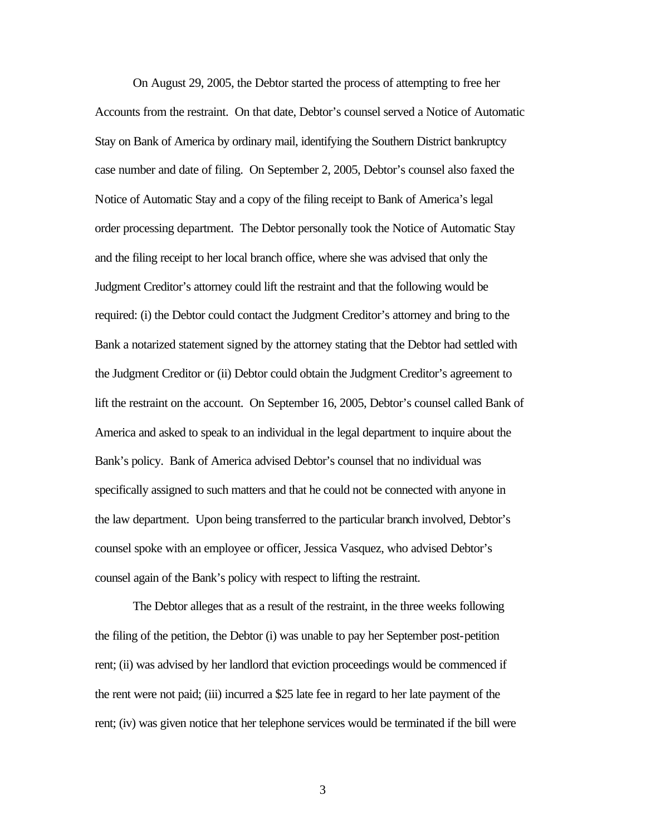On August 29, 2005, the Debtor started the process of attempting to free her Accounts from the restraint. On that date, Debtor's counsel served a Notice of Automatic Stay on Bank of America by ordinary mail, identifying the Southern District bankruptcy case number and date of filing. On September 2, 2005, Debtor's counsel also faxed the Notice of Automatic Stay and a copy of the filing receipt to Bank of America's legal order processing department. The Debtor personally took the Notice of Automatic Stay and the filing receipt to her local branch office, where she was advised that only the Judgment Creditor's attorney could lift the restraint and that the following would be required: (i) the Debtor could contact the Judgment Creditor's attorney and bring to the Bank a notarized statement signed by the attorney stating that the Debtor had settled with the Judgment Creditor or (ii) Debtor could obtain the Judgment Creditor's agreement to lift the restraint on the account. On September 16, 2005, Debtor's counsel called Bank of America and asked to speak to an individual in the legal department to inquire about the Bank's policy. Bank of America advised Debtor's counsel that no individual was specifically assigned to such matters and that he could not be connected with anyone in the law department. Upon being transferred to the particular branch involved, Debtor's counsel spoke with an employee or officer, Jessica Vasquez, who advised Debtor's counsel again of the Bank's policy with respect to lifting the restraint.

The Debtor alleges that as a result of the restraint, in the three weeks following the filing of the petition, the Debtor (i) was unable to pay her September post-petition rent; (ii) was advised by her landlord that eviction proceedings would be commenced if the rent were not paid; (iii) incurred a \$25 late fee in regard to her late payment of the rent; (iv) was given notice that her telephone services would be terminated if the bill were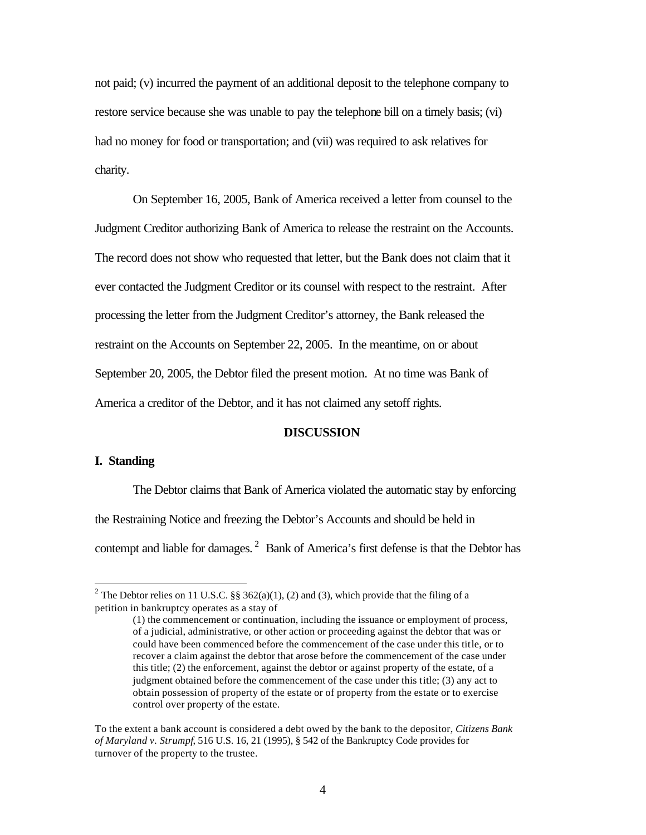not paid; (v) incurred the payment of an additional deposit to the telephone company to restore service because she was unable to pay the telephone bill on a timely basis; (vi) had no money for food or transportation; and (vii) was required to ask relatives for charity.

On September 16, 2005, Bank of America received a letter from counsel to the Judgment Creditor authorizing Bank of America to release the restraint on the Accounts. The record does not show who requested that letter, but the Bank does not claim that it ever contacted the Judgment Creditor or its counsel with respect to the restraint. After processing the letter from the Judgment Creditor's attorney, the Bank released the restraint on the Accounts on September 22, 2005. In the meantime, on or about September 20, 2005, the Debtor filed the present motion. At no time was Bank of America a creditor of the Debtor, and it has not claimed any setoff rights.

## **DISCUSSION**

### **I. Standing**

 $\overline{a}$ 

The Debtor claims that Bank of America violated the automatic stay by enforcing the Restraining Notice and freezing the Debtor's Accounts and should be held in contempt and liable for damages.<sup>2</sup> Bank of America's first defense is that the Debtor has

<sup>&</sup>lt;sup>2</sup> The Debtor relies on 11 U.S.C. §§ 362(a)(1), (2) and (3), which provide that the filing of a petition in bankruptcy operates as a stay of

<sup>(1)</sup> the commencement or continuation, including the issuance or employment of process, of a judicial, administrative, or other action or proceeding against the debtor that was or could have been commenced before the commencement of the case under this title, or to recover a claim against the debtor that arose before the commencement of the case under this title; (2) the enforcement, against the debtor or against property of the estate, of a judgment obtained before the commencement of the case under this title; (3) any act to obtain possession of property of the estate or of property from the estate or to exercise control over property of the estate.

To the extent a bank account is considered a debt owed by the bank to the depositor, *Citizens Bank of Maryland v. Strumpf*, 516 U.S. 16, 21 (1995), § 542 of the Bankruptcy Code provides for turnover of the property to the trustee.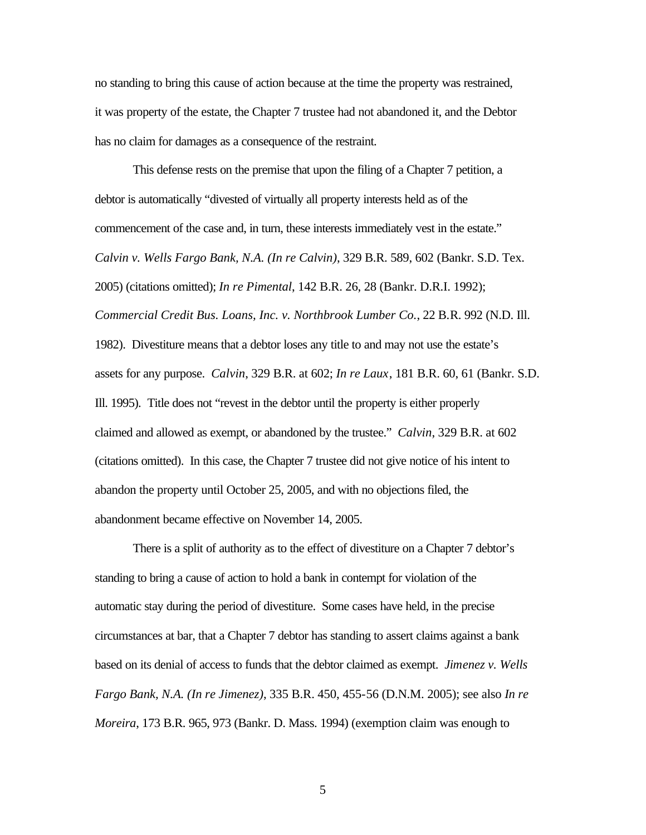no standing to bring this cause of action because at the time the property was restrained, it was property of the estate, the Chapter 7 trustee had not abandoned it, and the Debtor has no claim for damages as a consequence of the restraint.

This defense rests on the premise that upon the filing of a Chapter 7 petition, a debtor is automatically "divested of virtually all property interests held as of the commencement of the case and, in turn, these interests immediately vest in the estate." *Calvin v. Wells Fargo Bank, N.A. (In re Calvin)*, 329 B.R. 589, 602 (Bankr. S.D. Tex. 2005) (citations omitted); *In re Pimental*, 142 B.R. 26, 28 (Bankr. D.R.I. 1992); *Commercial Credit Bus. Loans, Inc. v. Northbrook Lumber Co.*, 22 B.R. 992 (N.D. Ill. 1982). Divestiture means that a debtor loses any title to and may not use the estate's assets for any purpose. *Calvin*, 329 B.R. at 602; *In re Laux*, 181 B.R. 60, 61 (Bankr. S.D. Ill. 1995). Title does not "revest in the debtor until the property is either properly claimed and allowed as exempt, or abandoned by the trustee." *Calvin*, 329 B.R. at 602 (citations omitted). In this case, the Chapter 7 trustee did not give notice of his intent to abandon the property until October 25, 2005, and with no objections filed, the abandonment became effective on November 14, 2005.

There is a split of authority as to the effect of divestiture on a Chapter 7 debtor's standing to bring a cause of action to hold a bank in contempt for violation of the automatic stay during the period of divestiture. Some cases have held, in the precise circumstances at bar, that a Chapter 7 debtor has standing to assert claims against a bank based on its denial of access to funds that the debtor claimed as exempt. *Jimenez v. Wells Fargo Bank, N.A. (In re Jimenez)*, 335 B.R. 450, 455-56 (D.N.M. 2005); see also *In re Moreira*, 173 B.R. 965, 973 (Bankr. D. Mass. 1994) (exemption claim was enough to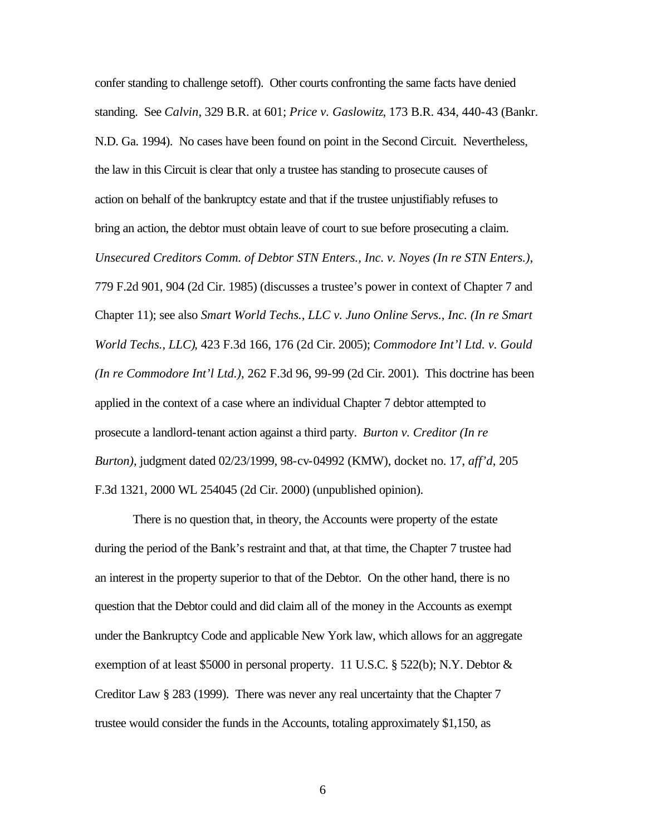confer standing to challenge setoff). Other courts confronting the same facts have denied standing. See *Calvin*, 329 B.R. at 601; *Price v. Gaslowitz*, 173 B.R. 434, 440-43 (Bankr. N.D. Ga. 1994). No cases have been found on point in the Second Circuit. Nevertheless, the law in this Circuit is clear that only a trustee has standing to prosecute causes of action on behalf of the bankruptcy estate and that if the trustee unjustifiably refuses to bring an action, the debtor must obtain leave of court to sue before prosecuting a claim. *Unsecured Creditors Comm. of Debtor STN Enters., Inc. v. Noyes (In re STN Enters.)*, 779 F.2d 901, 904 (2d Cir. 1985) (discusses a trustee's power in context of Chapter 7 and Chapter 11); see also *Smart World Techs., LLC v. Juno Online Servs., Inc. (In re Smart World Techs., LLC)*, 423 F.3d 166, 176 (2d Cir. 2005); *Commodore Int'l Ltd. v. Gould (In re Commodore Int'l Ltd.)*, 262 F.3d 96, 99-99 (2d Cir. 2001). This doctrine has been applied in the context of a case where an individual Chapter 7 debtor attempted to prosecute a landlord-tenant action against a third party. *Burton v. Creditor (In re Burton)*, judgment dated 02/23/1999, 98-cv-04992 (KMW), docket no. 17, *aff'd*, 205 F.3d 1321, 2000 WL 254045 (2d Cir. 2000) (unpublished opinion).

There is no question that, in theory, the Accounts were property of the estate during the period of the Bank's restraint and that, at that time, the Chapter 7 trustee had an interest in the property superior to that of the Debtor. On the other hand, there is no question that the Debtor could and did claim all of the money in the Accounts as exempt under the Bankruptcy Code and applicable New York law, which allows for an aggregate exemption of at least \$5000 in personal property. 11 U.S.C. § 522(b); N.Y. Debtor  $&$ Creditor Law § 283 (1999). There was never any real uncertainty that the Chapter 7 trustee would consider the funds in the Accounts, totaling approximately \$1,150, as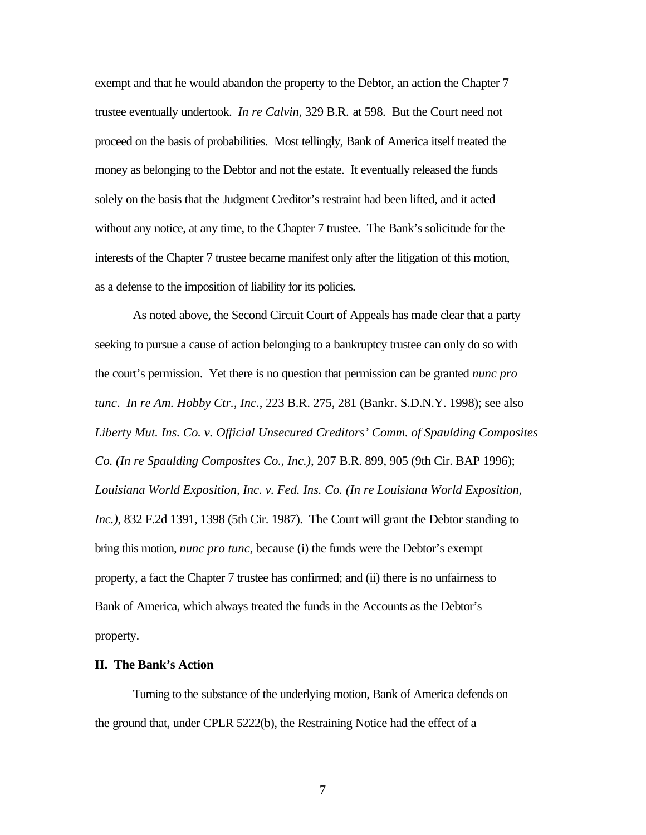exempt and that he would abandon the property to the Debtor, an action the Chapter 7 trustee eventually undertook. *In re Calvin*, 329 B.R. at 598. But the Court need not proceed on the basis of probabilities. Most tellingly, Bank of America itself treated the money as belonging to the Debtor and not the estate. It eventually released the funds solely on the basis that the Judgment Creditor's restraint had been lifted, and it acted without any notice, at any time, to the Chapter 7 trustee. The Bank's solicitude for the interests of the Chapter 7 trustee became manifest only after the litigation of this motion, as a defense to the imposition of liability for its policies.

As noted above, the Second Circuit Court of Appeals has made clear that a party seeking to pursue a cause of action belonging to a bankruptcy trustee can only do so with the court's permission. Yet there is no question that permission can be granted *nunc pro tunc*. *In re Am. Hobby Ctr., Inc.*, 223 B.R. 275, 281 (Bankr. S.D.N.Y. 1998); see also *Liberty Mut. Ins. Co. v. Official Unsecured Creditors' Comm. of Spaulding Composites Co. (In re Spaulding Composites Co., Inc.)*, 207 B.R. 899, 905 (9th Cir. BAP 1996); *Louisiana World Exposition, Inc. v. Fed. Ins. Co. (In re Louisiana World Exposition, Inc.)*, 832 F.2d 1391, 1398 (5th Cir. 1987). The Court will grant the Debtor standing to bring this motion, *nunc pro tunc*, because (i) the funds were the Debtor's exempt property, a fact the Chapter 7 trustee has confirmed; and (ii) there is no unfairness to Bank of America, which always treated the funds in the Accounts as the Debtor's property.

#### **II. The Bank's Action**

Turning to the substance of the underlying motion, Bank of America defends on the ground that, under CPLR 5222(b), the Restraining Notice had the effect of a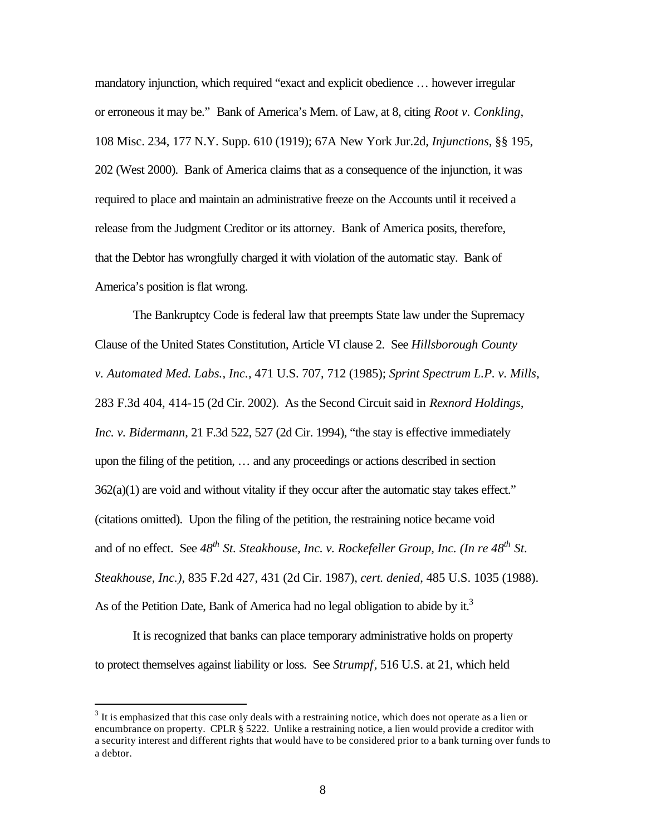mandatory injunction, which required "exact and explicit obedience … however irregular or erroneous it may be." Bank of America's Mem. of Law, at 8, citing *Root v. Conkling*, 108 Misc. 234, 177 N.Y. Supp. 610 (1919); 67A New York Jur.2d, *Injunctions*, §§ 195, 202 (West 2000). Bank of America claims that as a consequence of the injunction, it was required to place and maintain an administrative freeze on the Accounts until it received a release from the Judgment Creditor or its attorney. Bank of America posits, therefore, that the Debtor has wrongfully charged it with violation of the automatic stay. Bank of America's position is flat wrong.

The Bankruptcy Code is federal law that preempts State law under the Supremacy Clause of the United States Constitution, Article VI clause 2. See *Hillsborough County v. Automated Med. Labs., Inc.*, 471 U.S. 707, 712 (1985); *Sprint Spectrum L.P. v. Mills*, 283 F.3d 404, 414-15 (2d Cir. 2002). As the Second Circuit said in *Rexnord Holdings, Inc. v. Bidermann*, 21 F.3d 522, 527 (2d Cir. 1994), "the stay is effective immediately upon the filing of the petition, … and any proceedings or actions described in section 362(a)(1) are void and without vitality if they occur after the automatic stay takes effect." (citations omitted). Upon the filing of the petition, the restraining notice became void and of no effect. See *48th St. Steakhouse, Inc. v. Rockefeller Group, Inc. (In re 48th St. Steakhouse, Inc.)*, 835 F.2d 427, 431 (2d Cir. 1987), *cert. denied*, 485 U.S. 1035 (1988). As of the Petition Date, Bank of America had no legal obligation to abide by it.<sup>3</sup>

It is recognized that banks can place temporary administrative holds on property to protect themselves against liability or loss. See *Strumpf*, 516 U.S. at 21, which held

 $\overline{a}$ 

 $3$  It is emphasized that this case only deals with a restraining notice, which does not operate as a lien or encumbrance on property. CPLR § 5222. Unlike a restraining notice, a lien would provide a creditor with a security interest and different rights that would have to be considered prior to a bank turning over funds to a debtor.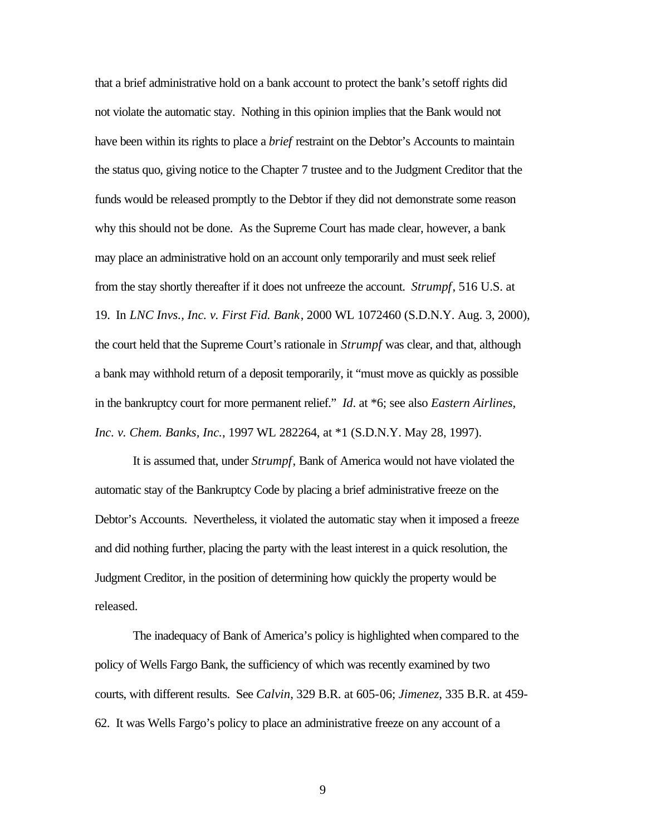that a brief administrative hold on a bank account to protect the bank's setoff rights did not violate the automatic stay. Nothing in this opinion implies that the Bank would not have been within its rights to place a *brief* restraint on the Debtor's Accounts to maintain the status quo, giving notice to the Chapter 7 trustee and to the Judgment Creditor that the funds would be released promptly to the Debtor if they did not demonstrate some reason why this should not be done. As the Supreme Court has made clear, however, a bank may place an administrative hold on an account only temporarily and must seek relief from the stay shortly thereafter if it does not unfreeze the account. *Strumpf*, 516 U.S. at 19. In *LNC Invs., Inc. v. First Fid. Bank*, 2000 WL 1072460 (S.D.N.Y. Aug. 3, 2000), the court held that the Supreme Court's rationale in *Strumpf* was clear, and that, although a bank may withhold return of a deposit temporarily, it "must move as quickly as possible in the bankruptcy court for more permanent relief." *Id*. at \*6; see also *Eastern Airlines, Inc. v. Chem. Banks, Inc.*, 1997 WL 282264, at \*1 (S.D.N.Y. May 28, 1997).

It is assumed that, under *Strumpf*, Bank of America would not have violated the automatic stay of the Bankruptcy Code by placing a brief administrative freeze on the Debtor's Accounts. Nevertheless, it violated the automatic stay when it imposed a freeze and did nothing further, placing the party with the least interest in a quick resolution, the Judgment Creditor, in the position of determining how quickly the property would be released.

The inadequacy of Bank of America's policy is highlighted when compared to the policy of Wells Fargo Bank, the sufficiency of which was recently examined by two courts, with different results. See *Calvin*, 329 B.R. at 605-06; *Jimenez*, 335 B.R. at 459- 62. It was Wells Fargo's policy to place an administrative freeze on any account of a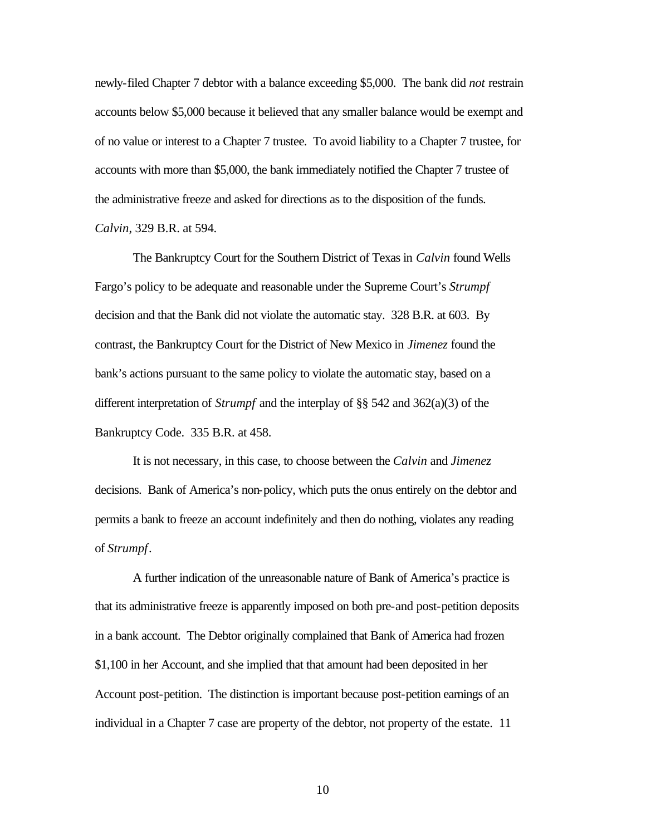newly-filed Chapter 7 debtor with a balance exceeding \$5,000. The bank did *not* restrain accounts below \$5,000 because it believed that any smaller balance would be exempt and of no value or interest to a Chapter 7 trustee. To avoid liability to a Chapter 7 trustee, for accounts with more than \$5,000, the bank immediately notified the Chapter 7 trustee of the administrative freeze and asked for directions as to the disposition of the funds. *Calvin*, 329 B.R. at 594.

The Bankruptcy Court for the Southern District of Texas in *Calvin* found Wells Fargo's policy to be adequate and reasonable under the Supreme Court's *Strumpf* decision and that the Bank did not violate the automatic stay. 328 B.R. at 603. By contrast, the Bankruptcy Court for the District of New Mexico in *Jimenez* found the bank's actions pursuant to the same policy to violate the automatic stay, based on a different interpretation of *Strumpf* and the interplay of §§ 542 and 362(a)(3) of the Bankruptcy Code. 335 B.R. at 458.

It is not necessary, in this case, to choose between the *Calvin* and *Jimenez* decisions.Bank of America's non-policy, which puts the onus entirely on the debtor and permits a bank to freeze an account indefinitely and then do nothing, violates any reading of *Strumpf*.

A further indication of the unreasonable nature of Bank of America's practice is that its administrative freeze is apparently imposed on both pre-and post-petition deposits in a bank account. The Debtor originally complained that Bank of America had frozen \$1,100 in her Account, and she implied that that amount had been deposited in her Account post-petition. The distinction is important because post-petition earnings of an individual in a Chapter 7 case are property of the debtor, not property of the estate. 11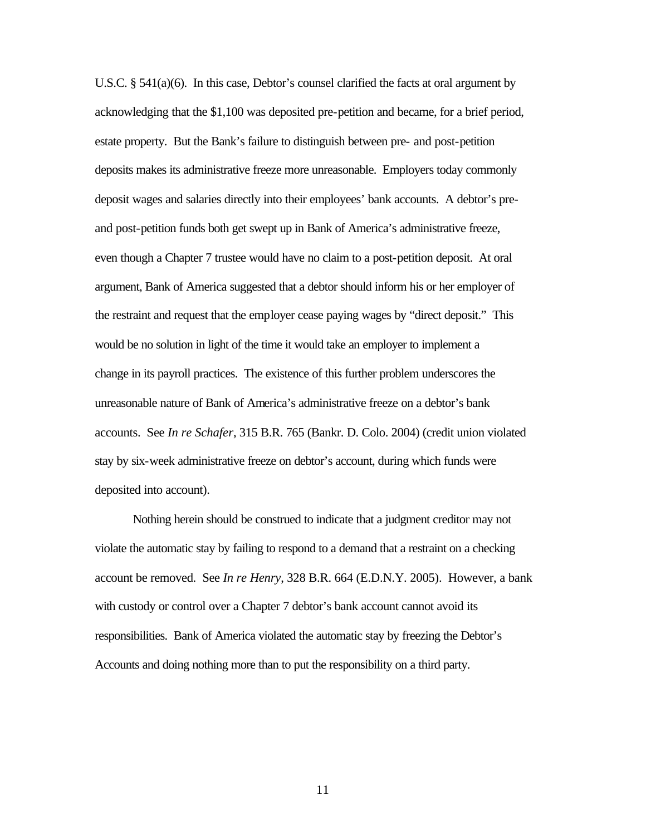U.S.C. § 541(a)(6). In this case, Debtor's counsel clarified the facts at oral argument by acknowledging that the \$1,100 was deposited pre-petition and became, for a brief period, estate property. But the Bank's failure to distinguish between pre- and post-petition deposits makes its administrative freeze more unreasonable. Employers today commonly deposit wages and salaries directly into their employees' bank accounts. A debtor's preand post-petition funds both get swept up in Bank of America's administrative freeze, even though a Chapter 7 trustee would have no claim to a post-petition deposit. At oral argument, Bank of America suggested that a debtor should inform his or her employer of the restraint and request that the employer cease paying wages by "direct deposit." This would be no solution in light of the time it would take an employer to implement a change in its payroll practices. The existence of this further problem underscores the unreasonable nature of Bank of America's administrative freeze on a debtor's bank accounts. See *In re Schafer*, 315 B.R. 765 (Bankr. D. Colo. 2004) (credit union violated stay by six-week administrative freeze on debtor's account, during which funds were deposited into account).

Nothing herein should be construed to indicate that a judgment creditor may not violate the automatic stay by failing to respond to a demand that a restraint on a checking account be removed. See *In re Henry*, 328 B.R. 664 (E.D.N.Y. 2005). However, a bank with custody or control over a Chapter 7 debtor's bank account cannot avoid its responsibilities. Bank of America violated the automatic stay by freezing the Debtor's Accounts and doing nothing more than to put the responsibility on a third party.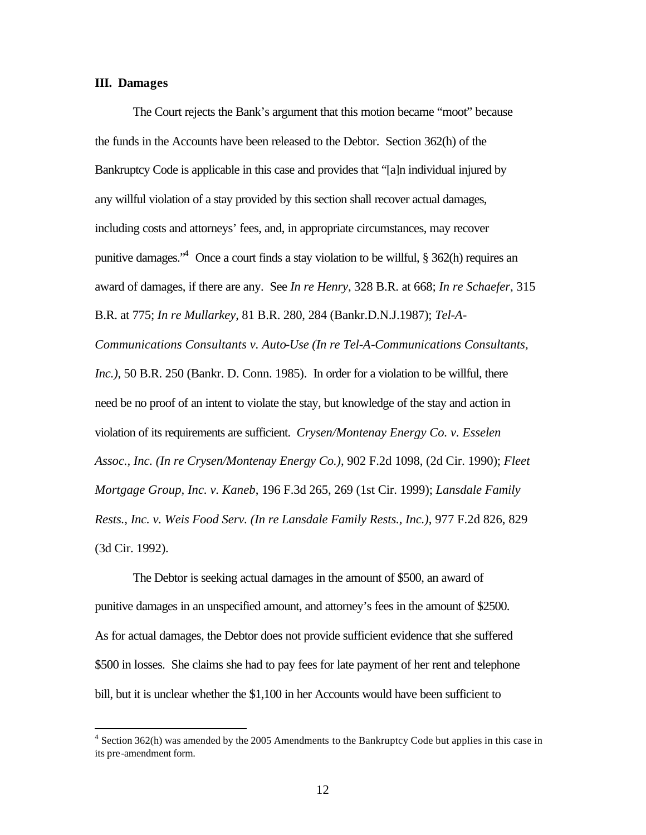#### **III. Damages**

 $\overline{a}$ 

The Court rejects the Bank's argument that this motion became "moot" because the funds in the Accounts have been released to the Debtor. Section 362(h) of the Bankruptcy Code is applicable in this case and provides that "[a]n individual injured by any willful violation of a stay provided by this section shall recover actual damages, including costs and attorneys' fees, and, in appropriate circumstances, may recover punitive damages."<sup>4</sup> Once a court finds a stay violation to be willful, § 362(h) requires an award of damages, if there are any. See *In re Henry*, 328 B.R. at 668; *In re Schaefer*, 315 B.R. at 775; *In re Mullarkey*, 81 B.R. 280, 284 (Bankr.D.N.J.1987); *Tel-A-Communications Consultants v. Auto-Use (In re Tel-A-Communications Consultants, Inc.)*, 50 B.R. 250 (Bankr. D. Conn. 1985). In order for a violation to be willful, there need be no proof of an intent to violate the stay, but knowledge of the stay and action in violation of its requirements are sufficient. *Crysen/Montenay Energy Co. v. Esselen Assoc., Inc. (In re Crysen/Montenay Energy Co.)*, 902 F.2d 1098, (2d Cir. 1990); *Fleet Mortgage Group, Inc. v. Kaneb*, 196 F.3d 265, 269 (1st Cir. 1999); *Lansdale Family Rests., Inc. v. Weis Food Serv. (In re Lansdale Family Rests., Inc.)*, 977 F.2d 826, 829 (3d Cir. 1992).

The Debtor is seeking actual damages in the amount of \$500, an award of punitive damages in an unspecified amount, and attorney's fees in the amount of \$2500. As for actual damages, the Debtor does not provide sufficient evidence that she suffered \$500 in losses. She claims she had to pay fees for late payment of her rent and telephone bill, but it is unclear whether the \$1,100 in her Accounts would have been sufficient to

<sup>&</sup>lt;sup>4</sup> Section 362(h) was amended by the 2005 Amendments to the Bankruptcy Code but applies in this case in its pre-amendment form.